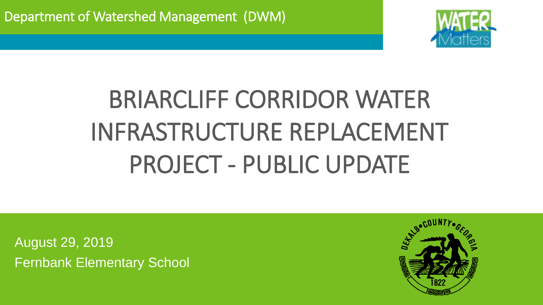

# BRIARCLIFF CORRIDOR WATER INFRASTRUCTURE REPLACEMENT PROJECT - PUBLIC UPDATE

August 29, 2019 Fernbank Elementary School

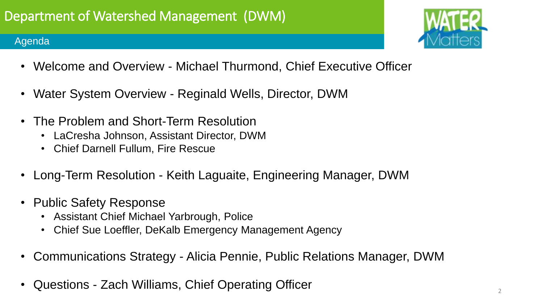### Agenda



- Welcome and Overview Michael Thurmond, Chief Executive Officer
- Water System Overview Reginald Wells, Director, DWM
- The Problem and Short-Term Resolution
	- LaCresha Johnson, Assistant Director, DWM
	- Chief Darnell Fullum, Fire Rescue
- Long-Term Resolution Keith Laguaite, Engineering Manager, DWM
- Public Safety Response
	- Assistant Chief Michael Yarbrough, Police
	- Chief Sue Loeffler, DeKalb Emergency Management Agency
- Communications Strategy Alicia Pennie, Public Relations Manager, DWM
- Questions Zach Williams, Chief Operating Officer 2011 2012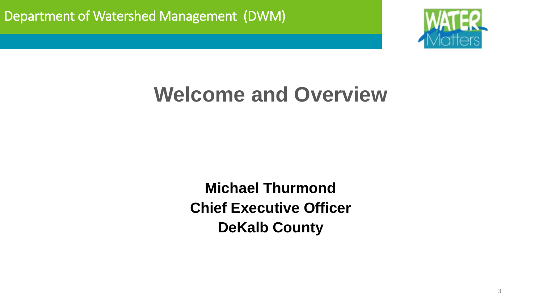

# **Welcome and Overview**

**Michael Thurmond Chief Executive Officer DeKalb County**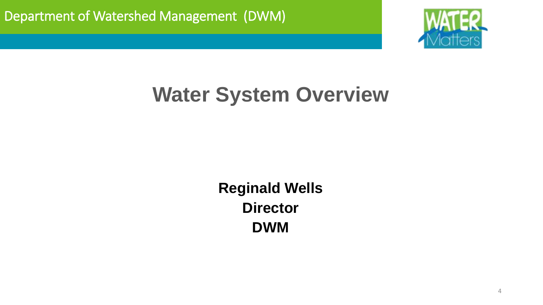

# **Water System Overview**

**Reginald Wells Director DWM**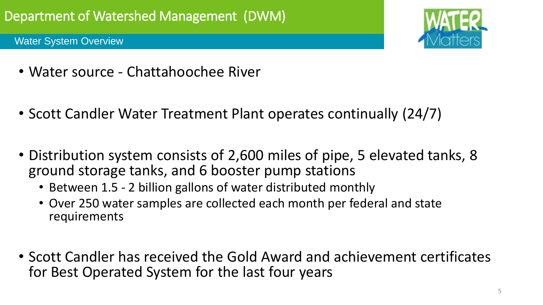Water System Overview



- Water source Chattahoochee River
- Scott Candler Water Treatment Plant operates continually (24/7)
- Distribution system consists of 2,600 miles of pipe, 5 elevated tanks, 8 ground storage tanks, and 6 booster pump stations
	- Between 1.5 2 billion gallons of water distributed monthly
	- Over 250 water samples are collected each month per federal and state requirements
- Scott Candler has received the Gold Award and achievement certificates for Best Operated System for the last four years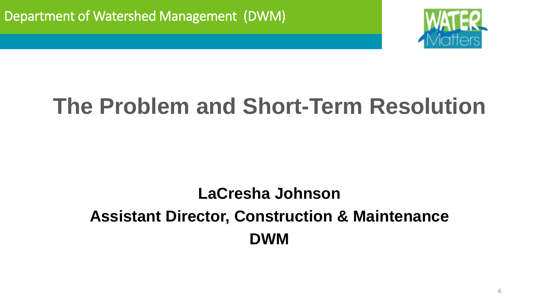

## **LaCresha Johnson Assistant Director, Construction & Maintenance DWM**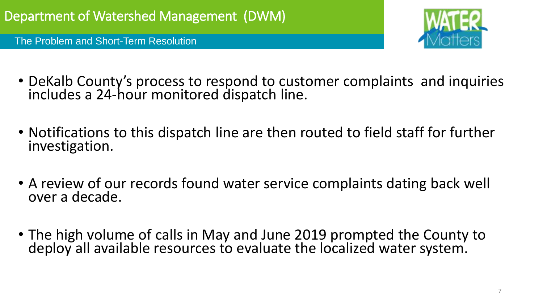

- DeKalb County's process to respond to customer complaints and inquiries includes a 24-hour monitored dispatch line.
- Notifications to this dispatch line are then routed to field staff for further investigation.
- A review of our records found water service complaints dating back well over a decade.
- The high volume of calls in May and June 2019 prompted the County to deploy all available resources to evaluate the localized water system.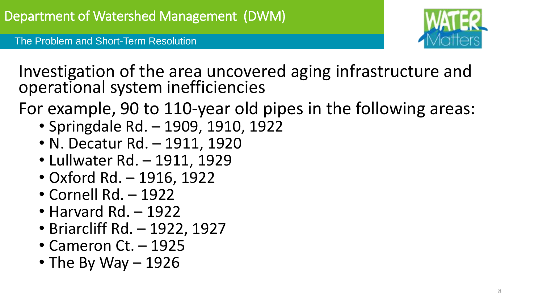Investigation of the area uncovered aging infrastructure and operational system inefficiencies

For example, 90 to 110-year old pipes in the following areas:

- Springdale Rd. 1909, 1910, 1922
- N. Decatur Rd. 1911, 1920
- Lullwater Rd. 1911, 1929
- Oxford Rd. 1916, 1922
- Cornell Rd. 1922
- Harvard Rd. 1922
- Briarcliff Rd. 1922, 1927
- Cameron Ct. 1925
- The By Way  $-1926$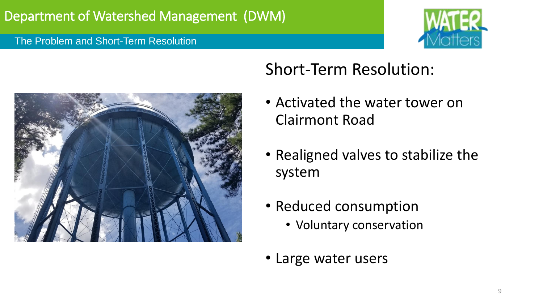



## Short-Term Resolution:

- Activated the water tower on Clairmont Road
- Realigned valves to stabilize the system
- Reduced consumption
	- Voluntary conservation
- Large water users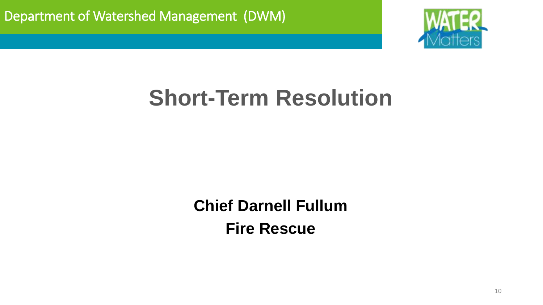

# **Short-Term Resolution**

**Chief Darnell Fullum Fire Rescue**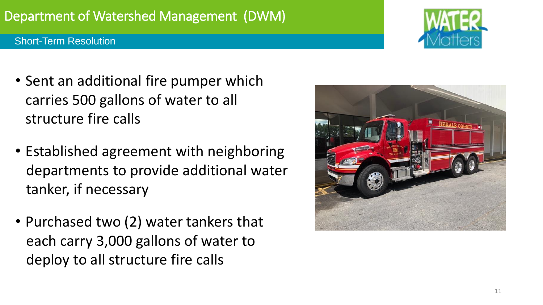## Department of Watershed Management (DWM)

### Short-Term Resolution

- Sent an additional fire pumper which carries 500 gallons of water to all structure fire calls
- Established agreement with neighboring departments to provide additional water tanker, if necessary
- Purchased two (2) water tankers that each carry 3,000 gallons of water to deploy to all structure fire calls



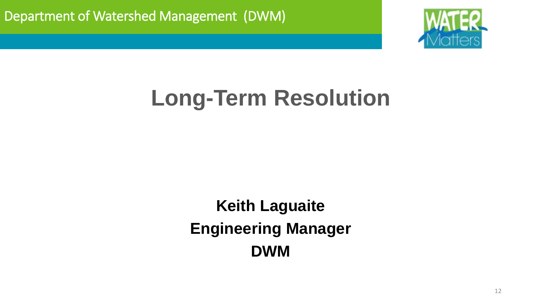

**Keith Laguaite Engineering Manager DWM**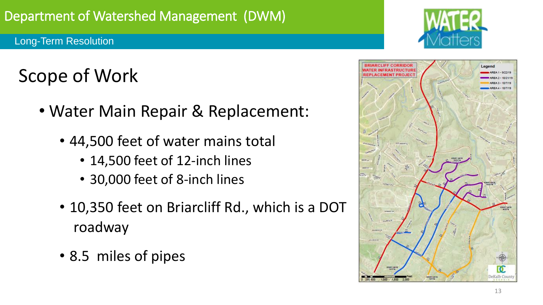# Scope of Work

- Water Main Repair & Replacement:
	- 44,500 feet of water mains total
		- 14,500 feet of 12-inch lines
		- 30,000 feet of 8-inch lines
	- 10,350 feet on Briarcliff Rd., which is a DOT roadway
	- 8.5 miles of pipes



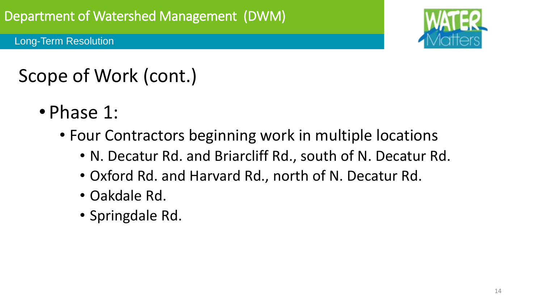

# Scope of Work (cont.)

- Phase 1:
	- Four Contractors beginning work in multiple locations
		- N. Decatur Rd. and Briarcliff Rd., south of N. Decatur Rd.
		- Oxford Rd. and Harvard Rd., north of N. Decatur Rd.
		- Oakdale Rd.
		- Springdale Rd.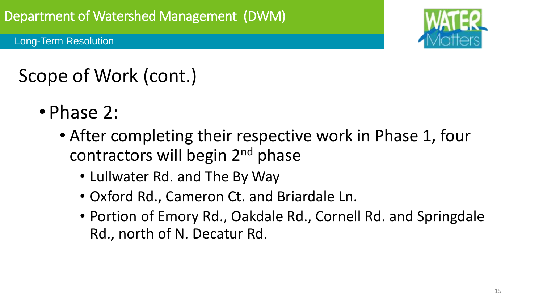

# Scope of Work (cont.)

- Phase 2:
	- After completing their respective work in Phase 1, four contractors will begin 2<sup>nd</sup> phase
		- Lullwater Rd. and The By Way
		- Oxford Rd., Cameron Ct. and Briardale Ln.
		- Portion of Emory Rd., Oakdale Rd., Cornell Rd. and Springdale Rd., north of N. Decatur Rd.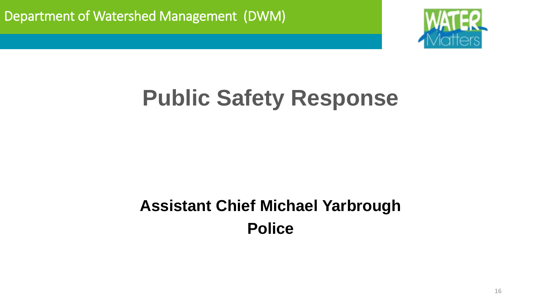

# **Public Safety Response**

## **Assistant Chief Michael Yarbrough Police**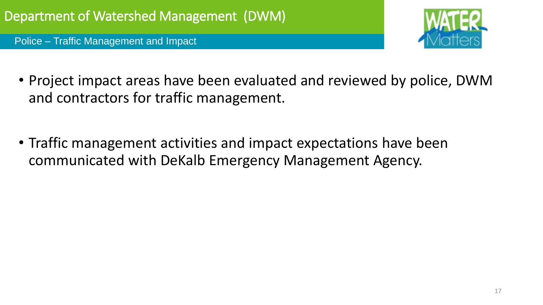Police – Traffic Management and Impact



- Project impact areas have been evaluated and reviewed by police, DWM and contractors for traffic management.
- Traffic management activities and impact expectations have been communicated with DeKalb Emergency Management Agency.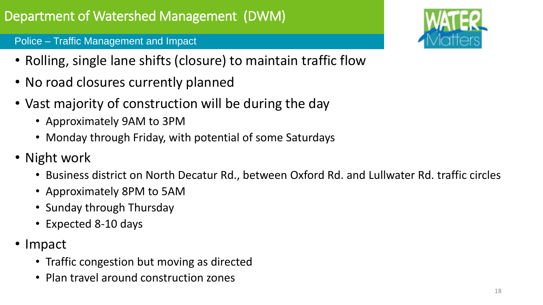### Police – Traffic Management and Impact

- Rolling, single lane shifts (closure) to maintain traffic flow
- No road closures currently planned
- Vast majority of construction will be during the day
	- Approximately 9AM to 3PM
	- Monday through Friday, with potential of some Saturdays
- Night work
	- Business district on North Decatur Rd., between Oxford Rd. and Lullwater Rd. traffic circles
	- Approximately 8PM to 5AM
	- Sunday through Thursday
	- Expected 8-10 days
- Impact
	- Traffic congestion but moving as directed
	- Plan travel around construction zones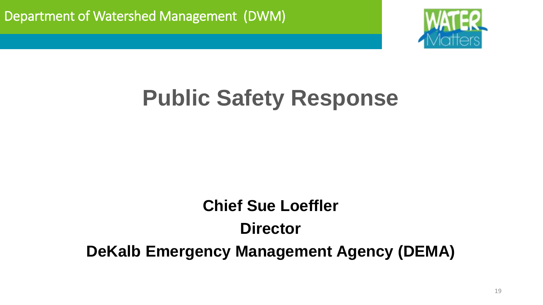

# **Public Safety Response**

## **Chief Sue Loeffler Director DeKalb Emergency Management Agency (DEMA)**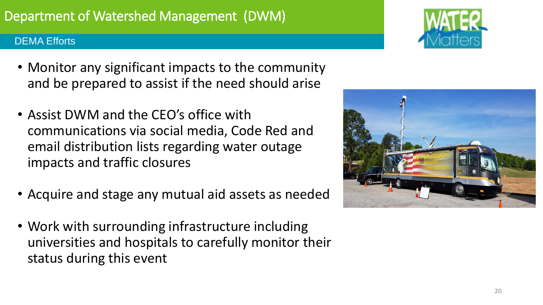### DEMA Efforts

- Monitor any significant impacts to the community and be prepared to assist if the need should arise
- Assist DWM and the CEO's office with communications via social media, Code Red and email distribution lists regarding water outage impacts and traffic closures
- Acquire and stage any mutual aid assets as needed
- Work with surrounding infrastructure including universities and hospitals to carefully monitor their status during this event



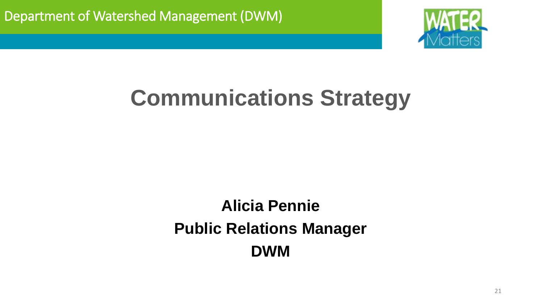

# **Communications Strategy**

## **Alicia Pennie Public Relations Manager DWM**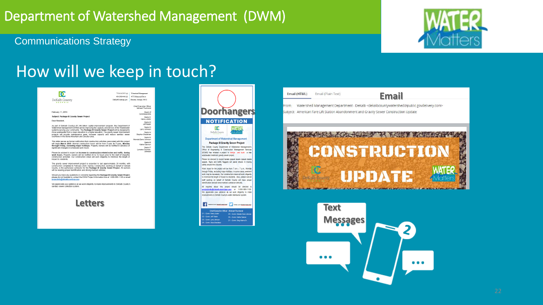## Department of Watershed Management (DWM)



### Communications Strategy

## How will we keep in touch?

|                                                                                                                                                                                                                                                                                                                                                           | 770.414.2355 (o)   | Watershed Management                        |
|-----------------------------------------------------------------------------------------------------------------------------------------------------------------------------------------------------------------------------------------------------------------------------------------------------------------------------------------------------------|--------------------|---------------------------------------------|
|                                                                                                                                                                                                                                                                                                                                                           | 404.298.4446 (f)   | 4572 Memorial Drive                         |
| DeKalb County<br><b>GEORGIA</b>                                                                                                                                                                                                                                                                                                                           | DeKalbCountvea.gov | Decatur Georgia 30032                       |
|                                                                                                                                                                                                                                                                                                                                                           |                    | Chief Executive Officer<br>Michael Thurmond |
| February 11, 2018                                                                                                                                                                                                                                                                                                                                         |                    | Board of<br>Commissioners                   |
| Subiect: Package III Gravity Sewer Project                                                                                                                                                                                                                                                                                                                |                    | District 1<br>Nancy Jester                  |
| Dear Resident.                                                                                                                                                                                                                                                                                                                                            |                    | District 2<br>Jeff Rader                    |
| As part of DeKalb County's \$1.345 billion capital improvement program, the Department of<br>Watershed Management (DWM) will be improving the capacity and service of the Wastewater<br>systems serving your community. The Package III Gravity Sewer Project will be designed to                                                                         |                    | District 3<br>Larry Johnson                 |
| move wastewater from a lower elevation to a higher elevation. The gravity sewer improvement<br>projects will provide maintenance ease, increase capacity and reduce sanitary sewer                                                                                                                                                                        |                    | District 4<br>Stephen Bradshaw              |
| overflows in the Stone Mountain and Decatur area.                                                                                                                                                                                                                                                                                                         |                    | District 5<br>Mereda Davis Johnson          |
| This letter serves as formal notification that construction activities associated with this project<br>will begin March 2019. Normal construction hours will be from 7 a.m. to 7 p.m., Monday<br>through Friday, excluding major holidays. Property owners will be notified in advance of                                                                 |                    | District 6<br>Kathie Gannon                 |
| significant changes in scheduled work hours.                                                                                                                                                                                                                                                                                                              |                    | District 7<br>Lorraine Cochran-<br>Johnson  |
| Please be advised to expect an increase in construction-related noise and traffic, during<br>work hours. Property owners will be notified 48 to 72 hours prior to the start of impactful<br>construction activities. Our construction crews will work diligently to minimize the length of<br>impact to residents.                                        |                    |                                             |
| The gravity sewer improvement project is expected to last approximately 20 months, with<br>construction completed in February 2020. Garney Construction, working on behalf of DeKalb<br>County, is the authorized contractor for the Package III Gravity Sewer Project. All workers<br>will be wearing proper identification and driving marked vehicles. |                    |                                             |
| Should you have any questions or concerns regarding the Package III Gravity Sewer Project.<br>please do not hesitate to contact the DWM Project Information line at 1-800-986-1108 or email<br>projectinfo@dekalbcountvga.gov.                                                                                                                            |                    |                                             |
| We appreciate your patience as we work diligently to make improvements to DeKalb County's<br>sanitary sewer collection system.                                                                                                                                                                                                                            |                    |                                             |
| <b>Letters</b>                                                                                                                                                                                                                                                                                                                                            |                    |                                             |







From: Watershed Management Department - DeKalb <dekalbcountywatershed@public.govdelivery.com> Subject: American Fare Lift Station Abandonment and Gravity Sewer Construction Update



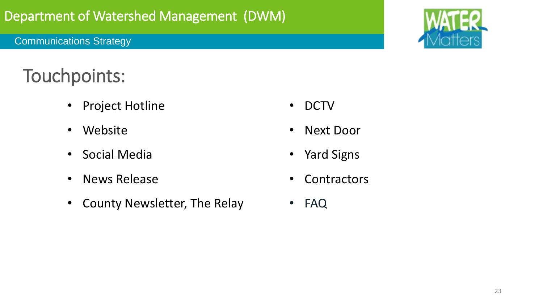### Communications Strategy



## Touchpoints:

- Project Hotline
- Website
- Social Media
- News Release
- County Newsletter, The Relay
- DCTV
- Next Door
- Yard Signs
- Contractors
- FAQ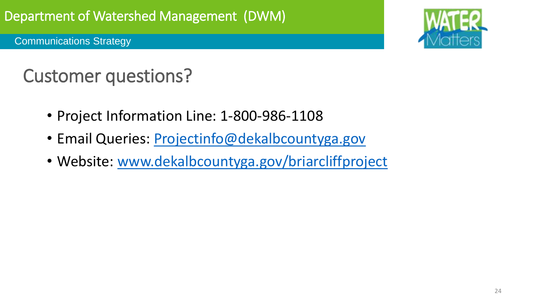Communications Strategy



## Customer questions?

- Project Information Line: 1-800-986-1108
- Email Queries: [Projectinfo@dekalbcountyga.gov](mailto:Projectinfo@dekalbcountyga.gov)
- Website: [www.dekalbcountyga.gov/briarcliffproject](https://gcc02.safelinks.protection.outlook.com/?url=http%3A%2F%2Fwww.dekalbcountyga.gov%2Fbriarcliffproject&data=02%7C01%7CATPennie%40dekalbcountyga.gov%7Cb3fe49562a5a4167e20908d72be1e0db%7C292d5527abff45ffbc92b1db1037607b%7C0%7C0%7C637026121446767047&sdata=a34yuGQ2x5NFLZNB7H98%2FeXEuBI%2BZ0V9H4nxr%2FbZVQo%3D&reserved=0)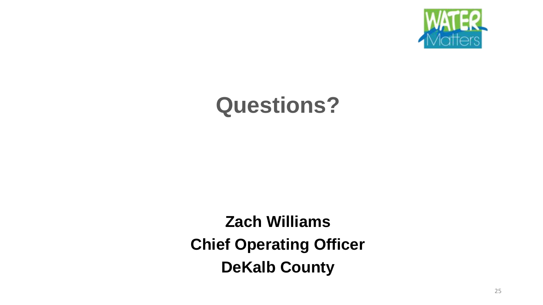

# **Questions?**

**Zach Williams Chief Operating Officer DeKalb County**